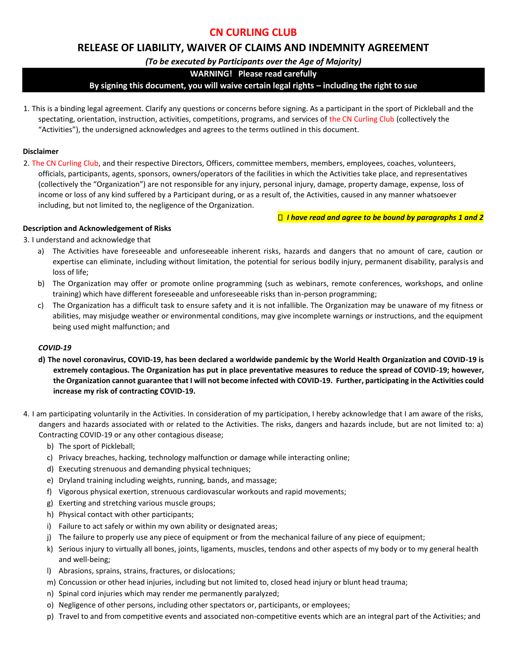# **CN CURLING CLUB**

## **RELEASE OF LIABILITY, WAIVER OF CLAIMS AND INDEMNITY AGREEMENT**

*(To be executed by Participants over the Age of Majority)* 

**WARNING! Please read carefully**

## **By signing this document, you will waive certain legal rights – including the right to sue**

1. This is a binding legal agreement. Clarify any questions or concerns before signing. As a participant in the sport of Pickleball and the spectating, orientation, instruction, activities, competitions, programs, and services of the CN Curling Club (collectively the "Activities"), the undersigned acknowledges and agrees to the terms outlined in this document.

## **Disclaimer**

2. The CN Curling Club, and their respective Directors, Officers, committee members, members, employees, coaches, volunteers, officials, participants, agents, sponsors, owners/operators of the facilities in which the Activities take place, and representatives (collectively the "Organization") are not responsible for any injury, personal injury, damage, property damage, expense, loss of income or loss of any kind suffered by a Participant during, or as a result of, the Activities, caused in any manner whatsoever including, but not limited to, the negligence of the Organization.

*I have read and agree to be bound by paragraphs 1 and 2*

## **Description and Acknowledgement of Risks**

3. I understand and acknowledge that

- a) The Activities have foreseeable and unforeseeable inherent risks, hazards and dangers that no amount of care, caution or expertise can eliminate, including without limitation, the potential for serious bodily injury, permanent disability, paralysis and loss of life;
- b) The Organization may offer or promote online programming (such as webinars, remote conferences, workshops, and online training) which have different foreseeable and unforeseeable risks than in-person programming;
- c) The Organization has a difficult task to ensure safety and it is not infallible. The Organization may be unaware of my fitness or abilities, may misjudge weather or environmental conditions, may give incomplete warnings or instructions, and the equipment being used might malfunction; and

## *COVID-19*

- **d) The novel coronavirus, COVID-19, has been declared a worldwide pandemic by the World Health Organization and COVID-19 is extremely contagious. The Organization has put in place preventative measures to reduce the spread of COVID-19; however, the Organization cannot guarantee that I will not become infected with COVID-19. Further, participating in the Activities could increase my risk of contracting COVID-19.**
- 4. I am participating voluntarily in the Activities. In consideration of my participation, I hereby acknowledge that I am aware of the risks, dangers and hazards associated with or related to the Activities. The risks, dangers and hazards include, but are not limited to: a) Contracting COVID-19 or any other contagious disease;
	- b) The sport of Pickleball;
	- c) Privacy breaches, hacking, technology malfunction or damage while interacting online;
	- d) Executing strenuous and demanding physical techniques;
	- e) Dryland training including weights, running, bands, and massage;
	- f) Vigorous physical exertion, strenuous cardiovascular workouts and rapid movements;
	- g) Exerting and stretching various muscle groups;
	- h) Physical contact with other participants;
	- i) Failure to act safely or within my own ability or designated areas;
	- j) The failure to properly use any piece of equipment or from the mechanical failure of any piece of equipment;
	- k) Serious injury to virtually all bones, joints, ligaments, muscles, tendons and other aspects of my body or to my general health and well-being;
	- l) Abrasions, sprains, strains, fractures, or dislocations;
	- m) Concussion or other head injuries, including but not limited to, closed head injury or blunt head trauma;
	- n) Spinal cord injuries which may render me permanently paralyzed;
	- o) Negligence of other persons, including other spectators or, participants, or employees;
	- p) Travel to and from competitive events and associated non-competitive events which are an integral part of the Activities; and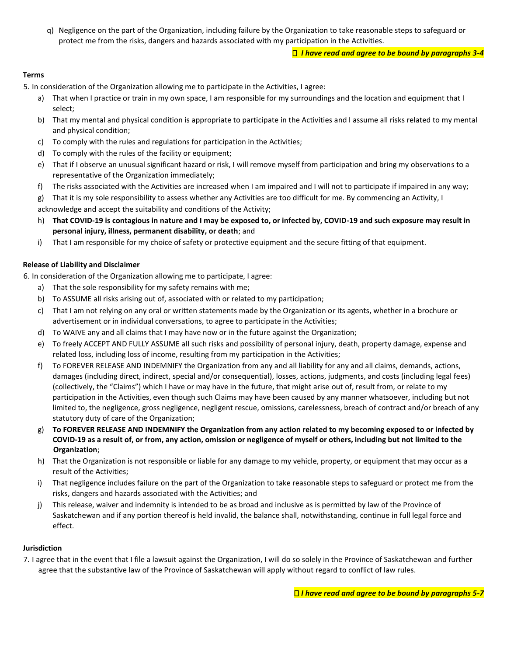q) Negligence on the part of the Organization, including failure by the Organization to take reasonable steps to safeguard or protect me from the risks, dangers and hazards associated with my participation in the Activities.

*I have read and agree to be bound by paragraphs 3-4*

#### **Terms**

5. In consideration of the Organization allowing me to participate in the Activities, I agree:

- a) That when I practice or train in my own space, I am responsible for my surroundings and the location and equipment that I select;
- b) That my mental and physical condition is appropriate to participate in the Activities and I assume all risks related to my mental and physical condition;
- c) To comply with the rules and regulations for participation in the Activities;
- d) To comply with the rules of the facility or equipment;
- e) That if I observe an unusual significant hazard or risk, I will remove myself from participation and bring my observations to a representative of the Organization immediately;
- f) The risks associated with the Activities are increased when I am impaired and I will not to participate if impaired in any way;
- g) That it is my sole responsibility to assess whether any Activities are too difficult for me. By commencing an Activity, I

acknowledge and accept the suitability and conditions of the Activity;

- h) **That COVID-19 is contagious in nature and I may be exposed to, or infected by, COVID-19 and such exposure may result in personal injury, illness, permanent disability, or death**; and
- i) That I am responsible for my choice of safety or protective equipment and the secure fitting of that equipment.

#### **Release of Liability and Disclaimer**

6. In consideration of the Organization allowing me to participate, I agree:

- a) That the sole responsibility for my safety remains with me;
- b) To ASSUME all risks arising out of, associated with or related to my participation;
- c) That I am not relying on any oral or written statements made by the Organization or its agents, whether in a brochure or advertisement or in individual conversations, to agree to participate in the Activities;
- d) To WAIVE any and all claims that I may have now or in the future against the Organization;
- e) To freely ACCEPT AND FULLY ASSUME all such risks and possibility of personal injury, death, property damage, expense and related loss, including loss of income, resulting from my participation in the Activities;
- f) To FOREVER RELEASE AND INDEMNIFY the Organization from any and all liability for any and all claims, demands, actions, damages (including direct, indirect, special and/or consequential), losses, actions, judgments, and costs (including legal fees) (collectively, the "Claims") which I have or may have in the future, that might arise out of, result from, or relate to my participation in the Activities, even though such Claims may have been caused by any manner whatsoever, including but not limited to, the negligence, gross negligence, negligent rescue, omissions, carelessness, breach of contract and/or breach of any statutory duty of care of the Organization;
- g) **To FOREVER RELEASE AND INDEMNIFY the Organization from any action related to my becoming exposed to or infected by COVID-19 as a result of, or from, any action, omission or negligence of myself or others, including but not limited to the Organization**;
- h) That the Organization is not responsible or liable for any damage to my vehicle, property, or equipment that may occur as a result of the Activities;
- i) That negligence includes failure on the part of the Organization to take reasonable steps to safeguard or protect me from the risks, dangers and hazards associated with the Activities; and
- j) This release, waiver and indemnity is intended to be as broad and inclusive as is permitted by law of the Province of Saskatchewan and if any portion thereof is held invalid, the balance shall, notwithstanding, continue in full legal force and effect.

#### **Jurisdiction**

7. I agree that in the event that I file a lawsuit against the Organization, I will do so solely in the Province of Saskatchewan and further agree that the substantive law of the Province of Saskatchewan will apply without regard to conflict of law rules.